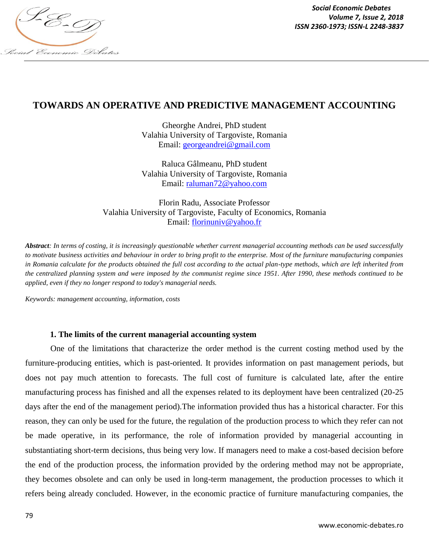

*Social Economic Debates Volume 7, Issue 2, 2018*

# **TOWARDS AN OPERATIVE AND PREDICTIVE MANAGEMENT ACCOUNTING**

Gheorghe Andrei, PhD student [Valahia University of Targoviste,](https://www.valahia.ro/en/) Romania Email: [georgeandrei@gmail.com](mailto:georgeandrei@gmail.com)

Raluca Gâlmeanu, PhD student [Valahia University of Targoviste,](https://www.valahia.ro/en/) Romania Email: [raluman72@yahoo.com](mailto:raluman72@yahoo.com)

Florin Radu, Associate Professor [Valahia University of Targoviste,](https://www.valahia.ro/en/) [Faculty of Economics,](https://www.valahia.ro/en/faculties/211-faculty-of-economics) Romania Email: [florinuniv@yahoo.fr](mailto:florinuniv@yahoo.fr)

*Abstract: In terms of costing, it is increasingly questionable whether current managerial accounting methods can be used successfully to motivate business activities and behaviour in order to bring profit to the enterprise. Most of the furniture manufacturing companies in Romania calculate for the products obtained the full cost according to the actual plan-type methods, which are left inherited from the centralized planning system and were imposed by the communist regime since 1951. After 1990, these methods continued to be applied, even if they no longer respond to today's managerial needs.*

*Keywords: management accounting, information, costs*

## **1. The limits of the current managerial accounting system**

One of the limitations that characterize the order method is the current costing method used by the furniture-producing entities, which is past-oriented. It provides information on past management periods, but does not pay much attention to forecasts. The full cost of furniture is calculated late, after the entire manufacturing process has finished and all the expenses related to its deployment have been centralized (20-25 days after the end of the management period).The information provided thus has a historical character. For this reason, they can only be used for the future, the regulation of the production process to which they refer can not be made operative, in its performance, the role of information provided by managerial accounting in substantiating short-term decisions, thus being very low. If managers need to make a cost-based decision before the end of the production process, the information provided by the ordering method may not be appropriate, they becomes obsolete and can only be used in long-term management, the production processes to which it refers being already concluded. However, in the economic practice of furniture manufacturing companies, the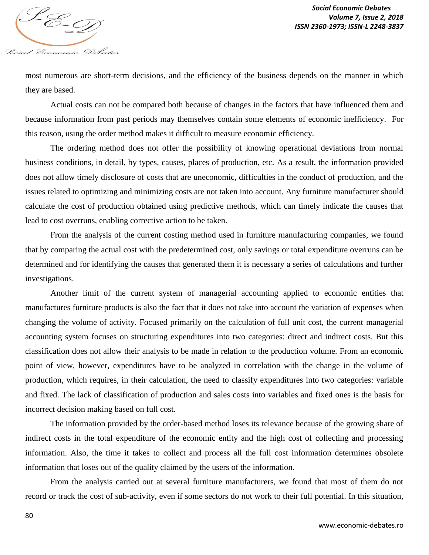

most numerous are short-term decisions, and the efficiency of the business depends on the manner in which they are based.

Actual costs can not be compared both because of changes in the factors that have influenced them and because information from past periods may themselves contain some elements of economic inefficiency. For this reason, using the order method makes it difficult to measure economic efficiency.

The ordering method does not offer the possibility of knowing operational deviations from normal business conditions, in detail, by types, causes, places of production, etc. As a result, the information provided does not allow timely disclosure of costs that are uneconomic, difficulties in the conduct of production, and the issues related to optimizing and minimizing costs are not taken into account. Any furniture manufacturer should calculate the cost of production obtained using predictive methods, which can timely indicate the causes that lead to cost overruns, enabling corrective action to be taken.

From the analysis of the current costing method used in furniture manufacturing companies, we found that by comparing the actual cost with the predetermined cost, only savings or total expenditure overruns can be determined and for identifying the causes that generated them it is necessary a series of calculations and further investigations.

Another limit of the current system of managerial accounting applied to economic entities that manufactures furniture products is also the fact that it does not take into account the variation of expenses when changing the volume of activity. Focused primarily on the calculation of full unit cost, the current managerial accounting system focuses on structuring expenditures into two categories: direct and indirect costs. But this classification does not allow their analysis to be made in relation to the production volume. From an economic point of view, however, expenditures have to be analyzed in correlation with the change in the volume of production, which requires, in their calculation, the need to classify expenditures into two categories: variable and fixed. The lack of classification of production and sales costs into variables and fixed ones is the basis for incorrect decision making based on full cost.

The information provided by the order-based method loses its relevance because of the growing share of indirect costs in the total expenditure of the economic entity and the high cost of collecting and processing information. Also, the time it takes to collect and process all the full cost information determines obsolete information that loses out of the quality claimed by the users of the information.

From the analysis carried out at several furniture manufacturers, we found that most of them do not record or track the cost of sub-activity, even if some sectors do not work to their full potential. In this situation,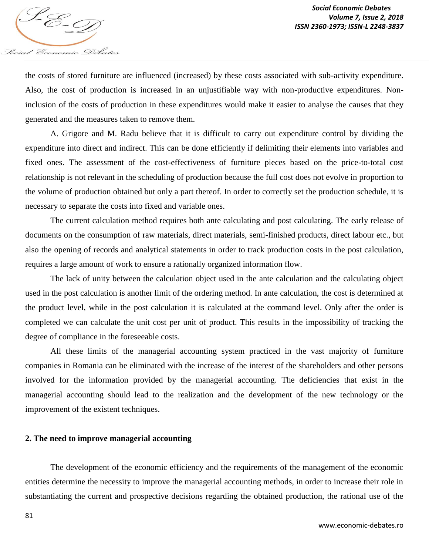

the costs of stored furniture are influenced (increased) by these costs associated with sub-activity expenditure. Also, the cost of production is increased in an unjustifiable way with non-productive expenditures. Noninclusion of the costs of production in these expenditures would make it easier to analyse the causes that they generated and the measures taken to remove them.

A. Grigore and M. Radu believe that it is difficult to carry out expenditure control by dividing the expenditure into direct and indirect. This can be done efficiently if delimiting their elements into variables and fixed ones. The assessment of the cost-effectiveness of furniture pieces based on the price-to-total cost relationship is not relevant in the scheduling of production because the full cost does not evolve in proportion to the volume of production obtained but only a part thereof. In order to correctly set the production schedule, it is necessary to separate the costs into fixed and variable ones.

The current calculation method requires both ante calculating and post calculating. The early release of documents on the consumption of raw materials, direct materials, semi-finished products, direct labour etc., but also the opening of records and analytical statements in order to track production costs in the post calculation, requires a large amount of work to ensure a rationally organized information flow.

The lack of unity between the calculation object used in the ante calculation and the calculating object used in the post calculation is another limit of the ordering method. In ante calculation, the cost is determined at the product level, while in the post calculation it is calculated at the command level. Only after the order is completed we can calculate the unit cost per unit of product. This results in the impossibility of tracking the degree of compliance in the foreseeable costs.

All these limits of the managerial accounting system practiced in the vast majority of furniture companies in Romania can be eliminated with the increase of the interest of the shareholders and other persons involved for the information provided by the managerial accounting. The deficiencies that exist in the managerial accounting should lead to the realization and the development of the new technology or the improvement of the existent techniques.

## **2. The need to improve managerial accounting**

The development of the economic efficiency and the requirements of the management of the economic entities determine the necessity to improve the managerial accounting methods, in order to increase their role in substantiating the current and prospective decisions regarding the obtained production, the rational use of the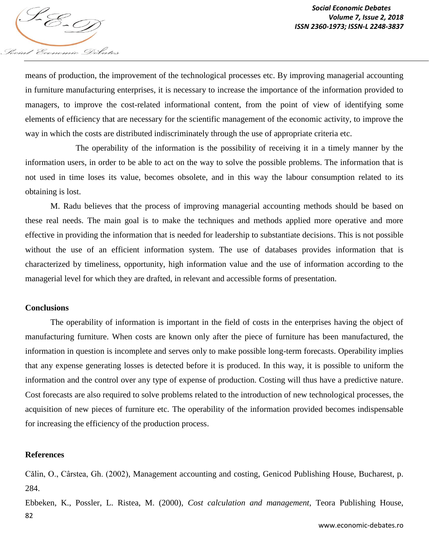

means of production, the improvement of the technological processes etc. By improving managerial accounting in furniture manufacturing enterprises, it is necessary to increase the importance of the information provided to managers, to improve the cost-related informational content, from the point of view of identifying some elements of efficiency that are necessary for the scientific management of the economic activity, to improve the way in which the costs are distributed indiscriminately through the use of appropriate criteria etc.

The operability of the information is the possibility of receiving it in a timely manner by the information users, in order to be able to act on the way to solve the possible problems. The information that is not used in time loses its value, becomes obsolete, and in this way the labour consumption related to its obtaining is lost.

M. Radu believes that the process of improving managerial accounting methods should be based on these real needs. The main goal is to make the techniques and methods applied more operative and more effective in providing the information that is needed for leadership to substantiate decisions. This is not possible without the use of an efficient information system. The use of databases provides information that is characterized by timeliness, opportunity, high information value and the use of information according to the managerial level for which they are drafted, in relevant and accessible forms of presentation.

### **Conclusions**

The operability of information is important in the field of costs in the enterprises having the object of manufacturing furniture. When costs are known only after the piece of furniture has been manufactured, the information in question is incomplete and serves only to make possible long-term forecasts. Operability implies that any expense generating losses is detected before it is produced. In this way, it is possible to uniform the information and the control over any type of expense of production. Costing will thus have a predictive nature. Cost forecasts are also required to solve problems related to the introduction of new technological processes, the acquisition of new pieces of furniture etc. The operability of the information provided becomes indispensable for increasing the efficiency of the production process.

### **References**

Călin, O., Cârstea, Gh. (2002), Management accounting and costing, Genicod Publishing House, Bucharest, p. 284.

82 Ebbeken, K., Possler, L. Ristea, M. (2000), *Cost calculation and management*, Teora Publishing House,